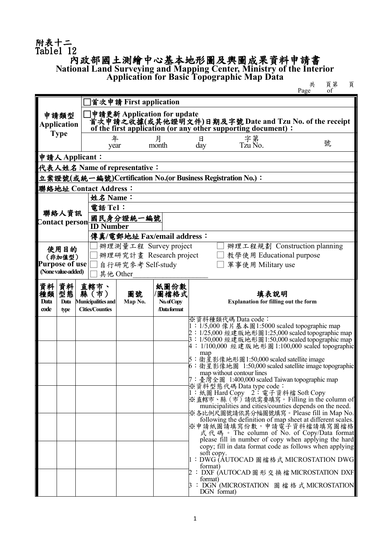## 附表十二 Table1 12<br>内政部國土測繪中心基本地形圖及輿圖成果資料申請書 **National Land Surveying and Mapping Center, Ministry of the Interior**

**Application for Basic Topographic Map Data https://www.facebook.com/data** # 頁第 頁

共<br>
Page of

|                               |                                                             |                                   | ]首次申請 First application                                                                                                                               |                     |                                                                                                    |  |  |  |  |  |
|-------------------------------|-------------------------------------------------------------|-----------------------------------|-------------------------------------------------------------------------------------------------------------------------------------------------------|---------------------|----------------------------------------------------------------------------------------------------|--|--|--|--|--|
|                               | 申請類型<br><b>Application</b>                                  |                                   | ]申請更新 Application for update<br>首次甲請之收據(或其他證明文件)日期及字號 Date and Tzu No. of the receipt<br>of the first application (or any other supporting document): |                     |                                                                                                    |  |  |  |  |  |
|                               | <b>Type</b>                                                 |                                   |                                                                                                                                                       |                     |                                                                                                    |  |  |  |  |  |
|                               |                                                             |                                   | 年<br>year                                                                                                                                             | 月<br>month          | 字第<br>Tzu No.<br>日<br>號<br>day                                                                     |  |  |  |  |  |
|                               |                                                             | 申請人Applicant:                     |                                                                                                                                                       |                     |                                                                                                    |  |  |  |  |  |
| 代表人姓名 Name of representative: |                                                             |                                   |                                                                                                                                                       |                     |                                                                                                    |  |  |  |  |  |
|                               | 立案證號(或統一編號)Certification No.(or Business Registration No.): |                                   |                                                                                                                                                       |                     |                                                                                                    |  |  |  |  |  |
| 聯絡地址 Contact Address:         |                                                             |                                   |                                                                                                                                                       |                     |                                                                                                    |  |  |  |  |  |
|                               |                                                             |                                   | 姓名 Name:                                                                                                                                              |                     |                                                                                                    |  |  |  |  |  |
| 聯絡人資訊<br>Contact person       |                                                             |                                   | 電話 Tel:                                                                                                                                               |                     |                                                                                                    |  |  |  |  |  |
|                               |                                                             |                                   | 國民身分證統一編號                                                                                                                                             |                     |                                                                                                    |  |  |  |  |  |
|                               |                                                             |                                   | <b>ID Number</b>                                                                                                                                      |                     |                                                                                                    |  |  |  |  |  |
|                               |                                                             |                                   | 傳真/電郵地址 Fax/email address:                                                                                                                            |                     |                                                                                                    |  |  |  |  |  |
|                               | 使用目的                                                        |                                   | 辦理測量工程 Survey project                                                                                                                                 |                     | 辦理工程規劃 Construction planning                                                                       |  |  |  |  |  |
|                               | (非加值型)                                                      |                                   | 辦理研究計畫 Research project                                                                                                                               |                     | 教學使用 Educational purpose                                                                           |  |  |  |  |  |
|                               | <b>Purpose of use</b><br>(None value-added)                 |                                   | 自行研究参考 Self-study                                                                                                                                     |                     | 軍事使用 Military use                                                                                  |  |  |  |  |  |
|                               |                                                             |                                   | 其他 Other                                                                                                                                              |                     |                                                                                                    |  |  |  |  |  |
| 資料                            | 資料<br>型態                                                    | 直轄市、                              |                                                                                                                                                       | 紙圖份數                |                                                                                                    |  |  |  |  |  |
| 種類<br>Data                    | Data                                                        | 縣(市)<br><b>Municipalities and</b> | 圖號<br>Map No.                                                                                                                                         | /圖檔格式<br>No.of Copy | 填表說明<br><b>Explanation for filling out the form</b>                                                |  |  |  |  |  |
| code                          | type                                                        | <b>Cities/Counties</b>            |                                                                                                                                                       | /Data format        |                                                                                                    |  |  |  |  |  |
|                               |                                                             |                                   |                                                                                                                                                       |                     | ※資料種類代碼 Data code:                                                                                 |  |  |  |  |  |
|                               |                                                             |                                   |                                                                                                                                                       |                     | 1: 1/5,000 像片基本圖1:5000 scaled topographic map<br>2: 1/25,000 經建版地形圖1:25,000 scaled topographic map |  |  |  |  |  |
|                               |                                                             |                                   |                                                                                                                                                       |                     | 3: 1/50,000 經建版地形圖1:50,000 scaled topographic map                                                  |  |  |  |  |  |
|                               |                                                             |                                   |                                                                                                                                                       |                     | 4: 1/100,000 經建版地形圖 1:100,000 scaled topographic<br>map                                            |  |  |  |  |  |
|                               |                                                             |                                   |                                                                                                                                                       |                     | 5:衛星影像地形圖1:50,000 scaled satellite image                                                           |  |  |  |  |  |
|                               |                                                             |                                   |                                                                                                                                                       |                     | 6: 衛星影像地圖 1:50,000 scaled satellite image topographic<br>map without contour lines                 |  |  |  |  |  |
|                               |                                                             |                                   |                                                                                                                                                       |                     | 7:臺灣全圖 1:400,000 scaled Taiwan topographic map                                                     |  |  |  |  |  |
|                               |                                                             |                                   |                                                                                                                                                       |                     | ※資料型態代碼 Data type code:<br>1: 紙圖 Hard Copy 2: 電子資料檔 Soft Copy                                      |  |  |  |  |  |
|                               |                                                             |                                   |                                                                                                                                                       |                     | ※直轄市、縣 (市) 請依需要填寫。Filling in the column of                                                         |  |  |  |  |  |
|                               |                                                             |                                   |                                                                                                                                                       |                     | municipalities and cities/counties depends on the need.<br>※各比例尺圖號請依其分幅圖號填寫。Please fill in Map No. |  |  |  |  |  |
|                               |                                                             |                                   |                                                                                                                                                       |                     | following the definition of map sheet at different scales.                                         |  |  |  |  |  |
|                               |                                                             |                                   |                                                                                                                                                       |                     | ※申請紙圖請填寫份數,申請電子資料檔請填寫圖檔格<br>式代碼。The column of No. of Copy/Data format                              |  |  |  |  |  |
|                               |                                                             |                                   |                                                                                                                                                       |                     | please fill in number of copy when applying the hard                                               |  |  |  |  |  |
|                               |                                                             |                                   |                                                                                                                                                       |                     | copy; fill in data format code as follows when applying<br>soft copy.                              |  |  |  |  |  |
|                               |                                                             |                                   |                                                                                                                                                       |                     | 1:DWG (AUTOCAD 圖檔格式 MICROSTATION DWG                                                               |  |  |  |  |  |
|                               |                                                             |                                   |                                                                                                                                                       |                     | format)<br>2:DXF (AUTOCAD 圖 形 交 換 檔 MICROSTATION DXF                                               |  |  |  |  |  |
|                               |                                                             |                                   |                                                                                                                                                       |                     | format)                                                                                            |  |  |  |  |  |
|                               |                                                             |                                   |                                                                                                                                                       |                     | 3: DGN (MICROSTATION) 圖 檔 格 式 MICROSTATION<br>DGN format)                                          |  |  |  |  |  |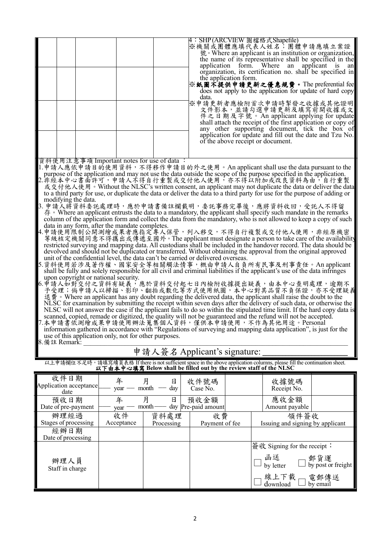|                                                                                                                                                                                                       |                                                                                                                                                                                                                                      |               | data.               | 4:SHP (ARCVIEW 圖檔格式Shapefile)<br>※機關或團體應填代表人姓名;團體申請應填立案證<br>號。Where an applicant is an institution or organization,<br>the name of its representative shall be specified in the<br>application form. Where<br>organization, its certification no. shall be specified in<br>the application form.<br>※紙圖不提供申請更新之優惠規費。The preferential fee <br>does not apply to the application for update of hard copy<br>※申請更新者應檢附首次申請時掣發之收據或其他證明<br>文件影本,並請勾選申請更新及填寫前開收據或文<br>件之日期及字號。An applicant applying for update<br>shall attach the receipt of the first application or copy of<br>any other supporting document, tick the box of<br>application for update and fill out the date and Tzu No.<br>of the above receipt or document. | an applicant   | <b>1S</b><br>an |  |  |
|-------------------------------------------------------------------------------------------------------------------------------------------------------------------------------------------------------|--------------------------------------------------------------------------------------------------------------------------------------------------------------------------------------------------------------------------------------|---------------|---------------------|-----------------------------------------------------------------------------------------------------------------------------------------------------------------------------------------------------------------------------------------------------------------------------------------------------------------------------------------------------------------------------------------------------------------------------------------------------------------------------------------------------------------------------------------------------------------------------------------------------------------------------------------------------------------------------------------------------------------------------|----------------|-----------------|--|--|
|                                                                                                                                                                                                       | 資料使用注意事項 Important notes for use of data :                                                                                                                                                                                           |               |                     |                                                                                                                                                                                                                                                                                                                                                                                                                                                                                                                                                                                                                                                                                                                             |                |                 |  |  |
|                                                                                                                                                                                                       | 1.申請人應依申請目的使用資料,不得移作申請目的外之使用。An applicant shall use the data pursuant to the                                                                                                                                                         |               |                     |                                                                                                                                                                                                                                                                                                                                                                                                                                                                                                                                                                                                                                                                                                                             |                |                 |  |  |
|                                                                                                                                                                                                       | purpose of the application and may not use the data outside the scope of the purpose specified in the application.                                                                                                                   |               |                     |                                                                                                                                                                                                                                                                                                                                                                                                                                                                                                                                                                                                                                                                                                                             |                |                 |  |  |
|                                                                                                                                                                                                       | 2.非經本中心書面許可,申請人不得自行重製或交付他人使用,亦不得以附加或改良資料為由,自行重製                                                                                                                                                                                      |               |                     |                                                                                                                                                                                                                                                                                                                                                                                                                                                                                                                                                                                                                                                                                                                             |                |                 |  |  |
|                                                                                                                                                                                                       | 或交付他人使用。Without the NLSC's written consent, an applicant may not duplicate the data or deliver the data<br>to a third party for use, or duplicate the data or deliver the data to a third party for use for the purpose of adding or |               |                     |                                                                                                                                                                                                                                                                                                                                                                                                                                                                                                                                                                                                                                                                                                                             |                |                 |  |  |
| modifying the data.                                                                                                                                                                                   |                                                                                                                                                                                                                                      |               |                     |                                                                                                                                                                                                                                                                                                                                                                                                                                                                                                                                                                                                                                                                                                                             |                |                 |  |  |
|                                                                                                                                                                                                       | 3. 申請人將資料委託處理時,應於申請書備註欄載明,委託事務完畢後,應將資料收回,受託人不得留                                                                                                                                                                                      |               |                     |                                                                                                                                                                                                                                                                                                                                                                                                                                                                                                                                                                                                                                                                                                                             |                |                 |  |  |
|                                                                                                                                                                                                       | $\hat{A}$ • Where an applicant entrusts the data to a mandatory, the applicant shall specify such mandate in the remarks                                                                                                             |               |                     |                                                                                                                                                                                                                                                                                                                                                                                                                                                                                                                                                                                                                                                                                                                             |                |                 |  |  |
|                                                                                                                                                                                                       | column of the application form and collect the data from the mandatory, who is not allowed to keep a copy of such                                                                                                                    |               |                     |                                                                                                                                                                                                                                                                                                                                                                                                                                                                                                                                                                                                                                                                                                                             |                |                 |  |  |
|                                                                                                                                                                                                       | data in any form, after the mandate completes.<br>4.申請使用限制公開測繪成果者應指定專人保管,列入移交,不得自行複製或交付他人使用,非經原機密                                                                                                                                    |               |                     |                                                                                                                                                                                                                                                                                                                                                                                                                                                                                                                                                                                                                                                                                                                             |                |                 |  |  |
|                                                                                                                                                                                                       | 等級核定機關同意不得攜出或傳遞至國外。The applicant must designate a person to take care of the availability                                                                                                                                            |               |                     |                                                                                                                                                                                                                                                                                                                                                                                                                                                                                                                                                                                                                                                                                                                             |                |                 |  |  |
|                                                                                                                                                                                                       | restricted surveying and mapping data. All custodians shall be included in the handover record. The data should be                                                                                                                   |               |                     |                                                                                                                                                                                                                                                                                                                                                                                                                                                                                                                                                                                                                                                                                                                             |                |                 |  |  |
|                                                                                                                                                                                                       | devolved and should not be duplicated or transferred. Without obtaining the approval from the original approved<br>unit of the confidential level, the data can't be carried or delivered overseas.                                  |               |                     |                                                                                                                                                                                                                                                                                                                                                                                                                                                                                                                                                                                                                                                                                                                             |                |                 |  |  |
|                                                                                                                                                                                                       | 5.資料使用若涉及著作權、國家安全等相關觸法情事,概由申請人自負所有民事及刑事責任。An applicant                                                                                                                                                                               |               |                     |                                                                                                                                                                                                                                                                                                                                                                                                                                                                                                                                                                                                                                                                                                                             |                |                 |  |  |
|                                                                                                                                                                                                       | shall be fully and solely responsible for all civil and criminal liabilities if the applicant's use of the data infringes                                                                                                            |               |                     |                                                                                                                                                                                                                                                                                                                                                                                                                                                                                                                                                                                                                                                                                                                             |                |                 |  |  |
|                                                                                                                                                                                                       | upon copyright or national security.                                                                                                                                                                                                 |               |                     |                                                                                                                                                                                                                                                                                                                                                                                                                                                                                                                                                                                                                                                                                                                             |                |                 |  |  |
| 6.申請人如對交付之資料有疑義,應於資料交付起七日內檢附收據提出疑義,由本中心查明處理,逾期不                                                                                                                                                       |                                                                                                                                                                                                                                      |               |                     |                                                                                                                                                                                                                                                                                                                                                                                                                                                                                                                                                                                                                                                                                                                             |                |                 |  |  |
| 予受理;倘申請人以掃描、影印、翻拍或數化等方式使用紙圖,本中心對其品質不負保證,亦不受理疑義<br>退費 • Where an applicant has any doubt regarding the delivered data, the applicant shall raise the doubt to the                                      |                                                                                                                                                                                                                                      |               |                     |                                                                                                                                                                                                                                                                                                                                                                                                                                                                                                                                                                                                                                                                                                                             |                |                 |  |  |
| NLSC for examination by submitting the receipt within seven days after the delivery of such data, or otherwise the                                                                                    |                                                                                                                                                                                                                                      |               |                     |                                                                                                                                                                                                                                                                                                                                                                                                                                                                                                                                                                                                                                                                                                                             |                |                 |  |  |
| NLSC will not answer the case if the applicant fails to do so within the stipulated time limit. If the hard copy data is                                                                              |                                                                                                                                                                                                                                      |               |                     |                                                                                                                                                                                                                                                                                                                                                                                                                                                                                                                                                                                                                                                                                                                             |                |                 |  |  |
| scanned, copied, remade or digitized, the quality will not be guaranteed and the refund will not be accepted.                                                                                         |                                                                                                                                                                                                                                      |               |                     |                                                                                                                                                                                                                                                                                                                                                                                                                                                                                                                                                                                                                                                                                                                             |                |                 |  |  |
| 7.本申請書依測繪成果申請使用辦法蒐集個人資料,僅供本申請使用,不作為其他用途。Personal<br>information gathered in accordance with "Regulations of surveying and mapping data application", is just for the                                  |                                                                                                                                                                                                                                      |               |                     |                                                                                                                                                                                                                                                                                                                                                                                                                                                                                                                                                                                                                                                                                                                             |                |                 |  |  |
|                                                                                                                                                                                                       | use of this application only, not for other purposes.                                                                                                                                                                                |               |                     |                                                                                                                                                                                                                                                                                                                                                                                                                                                                                                                                                                                                                                                                                                                             |                |                 |  |  |
| 8.備註 Remark:                                                                                                                                                                                          |                                                                                                                                                                                                                                      |               |                     |                                                                                                                                                                                                                                                                                                                                                                                                                                                                                                                                                                                                                                                                                                                             |                |                 |  |  |
| 申請人簽名 Applicant's signature:                                                                                                                                                                          |                                                                                                                                                                                                                                      |               |                     |                                                                                                                                                                                                                                                                                                                                                                                                                                                                                                                                                                                                                                                                                                                             |                |                 |  |  |
| 以上申請欄位不足時,請填寫續頁表格 If there is not sufficient space in the above application columns, please fill the continuation sheet.<br><b>以下由本中心填寫 Below shall be filled out by the review staff of the NLSC</b> |                                                                                                                                                                                                                                      |               |                     |                                                                                                                                                                                                                                                                                                                                                                                                                                                                                                                                                                                                                                                                                                                             |                |                 |  |  |
| 收件日期                                                                                                                                                                                                  |                                                                                                                                                                                                                                      |               |                     |                                                                                                                                                                                                                                                                                                                                                                                                                                                                                                                                                                                                                                                                                                                             |                |                 |  |  |
| Application acceptance                                                                                                                                                                                | 年<br>月<br>month<br>$year$ —                                                                                                                                                                                                          | 日<br>day<br>— | 收件號碼                |                                                                                                                                                                                                                                                                                                                                                                                                                                                                                                                                                                                                                                                                                                                             | 收據號碼           |                 |  |  |
| date                                                                                                                                                                                                  |                                                                                                                                                                                                                                      |               | Case No.            |                                                                                                                                                                                                                                                                                                                                                                                                                                                                                                                                                                                                                                                                                                                             | Receipt No.    |                 |  |  |
| 預收日期                                                                                                                                                                                                  | 月<br>年                                                                                                                                                                                                                               | 日             | 預收金額                |                                                                                                                                                                                                                                                                                                                                                                                                                                                                                                                                                                                                                                                                                                                             | 應收金額           |                 |  |  |
| Date of pre-payment                                                                                                                                                                                   | month-<br>year                                                                                                                                                                                                                       |               | day Pre-paid amount |                                                                                                                                                                                                                                                                                                                                                                                                                                                                                                                                                                                                                                                                                                                             | Amount payable |                 |  |  |
| 辦理經過                                                                                                                                                                                                  | 收件                                                                                                                                                                                                                                   | 資料處理          | 收費                  |                                                                                                                                                                                                                                                                                                                                                                                                                                                                                                                                                                                                                                                                                                                             | 領件簽收           |                 |  |  |

| 班汪灿迥                    | 4X 1T      | 貝竹処玨       | 收員             | 领什僉收                                             |
|-------------------------|------------|------------|----------------|--------------------------------------------------|
| Stages of processing    | Acceptance | Processing | Payment of fee | Issuing and signing by applicant                 |
| 經辦日期                    |            |            |                |                                                  |
| Date of processing      |            |            |                |                                                  |
|                         |            |            |                | 簽收 Signing for the receipt:                      |
| 辦理人員<br>Staff in charge |            |            |                | 函送<br>by letter<br>□ 郵貨運<br>□ by post or freight |
|                         |            |            |                | 線上下載<br>電郵傳送<br>by email<br>download             |